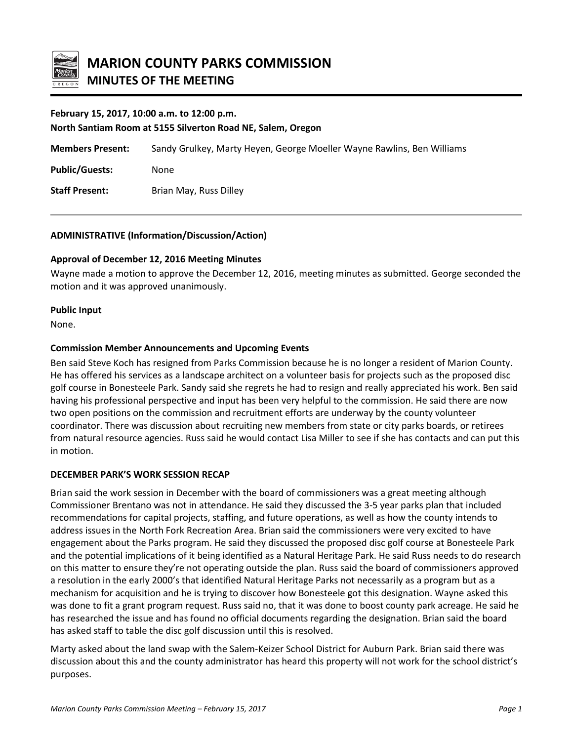

# **February 15, 2017, 10:00 a.m. to 12:00 p.m.**

**North Santiam Room at 5155 Silverton Road NE, Salem, Oregon**

**Members Present:** Sandy Grulkey, Marty Heyen, George Moeller Wayne Rawlins, Ben Williams

**Public/Guests:** None

**Staff Present:** Brian May, Russ Dilley

# **ADMINISTRATIVE (Information/Discussion/Action)**

# **Approval of December 12, 2016 Meeting Minutes**

Wayne made a motion to approve the December 12, 2016, meeting minutes as submitted. George seconded the motion and it was approved unanimously.

### **Public Input**

None.

### **Commission Member Announcements and Upcoming Events**

Ben said Steve Koch has resigned from Parks Commission because he is no longer a resident of Marion County. He has offered his services as a landscape architect on a volunteer basis for projects such as the proposed disc golf course in Bonesteele Park. Sandy said she regrets he had to resign and really appreciated his work. Ben said having his professional perspective and input has been very helpful to the commission. He said there are now two open positions on the commission and recruitment efforts are underway by the county volunteer coordinator. There was discussion about recruiting new members from state or city parks boards, or retirees from natural resource agencies. Russ said he would contact Lisa Miller to see if she has contacts and can put this in motion.

#### **DECEMBER PARK'S WORK SESSION RECAP**

Brian said the work session in December with the board of commissioners was a great meeting although Commissioner Brentano was not in attendance. He said they discussed the 3-5 year parks plan that included recommendations for capital projects, staffing, and future operations, as well as how the county intends to address issues in the North Fork Recreation Area. Brian said the commissioners were very excited to have engagement about the Parks program. He said they discussed the proposed disc golf course at Bonesteele Park and the potential implications of it being identified as a Natural Heritage Park. He said Russ needs to do research on this matter to ensure they're not operating outside the plan. Russ said the board of commissioners approved a resolution in the early 2000's that identified Natural Heritage Parks not necessarily as a program but as a mechanism for acquisition and he is trying to discover how Bonesteele got this designation. Wayne asked this was done to fit a grant program request. Russ said no, that it was done to boost county park acreage. He said he has researched the issue and has found no official documents regarding the designation. Brian said the board has asked staff to table the disc golf discussion until this is resolved.

Marty asked about the land swap with the Salem-Keizer School District for Auburn Park. Brian said there was discussion about this and the county administrator has heard this property will not work for the school district's purposes.